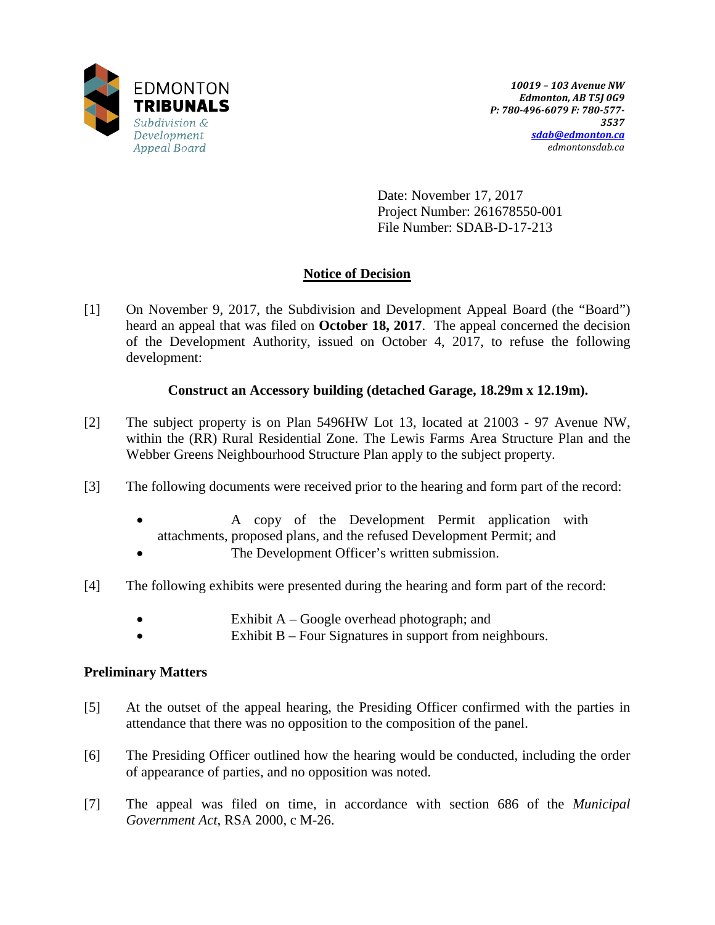

Date: November 17, 2017 Project Number: 261678550-001 File Number: SDAB-D-17-213

# **Notice of Decision**

[1] On November 9, 2017, the Subdivision and Development Appeal Board (the "Board") heard an appeal that was filed on **October 18, 2017**. The appeal concerned the decision of the Development Authority, issued on October 4, 2017, to refuse the following development:

## **Construct an Accessory building (detached Garage, 18.29m x 12.19m).**

- [2] The subject property is on Plan 5496HW Lot 13, located at 21003 97 Avenue NW, within the (RR) Rural Residential Zone. The Lewis Farms Area Structure Plan and the Webber Greens Neighbourhood Structure Plan apply to the subject property.
- [3] The following documents were received prior to the hearing and form part of the record:
	- A copy of the Development Permit application with attachments, proposed plans, and the refused Development Permit; and
	- The Development Officer's written submission.
- [4] The following exhibits were presented during the hearing and form part of the record:
	- Exhibit A Google overhead photograph; and
	- Exhibit  $B$  Four Signatures in support from neighbours.

## **Preliminary Matters**

- [5] At the outset of the appeal hearing, the Presiding Officer confirmed with the parties in attendance that there was no opposition to the composition of the panel.
- [6] The Presiding Officer outlined how the hearing would be conducted, including the order of appearance of parties, and no opposition was noted.
- [7] The appeal was filed on time, in accordance with section 686 of the *Municipal Government Act*, RSA 2000, c M-26.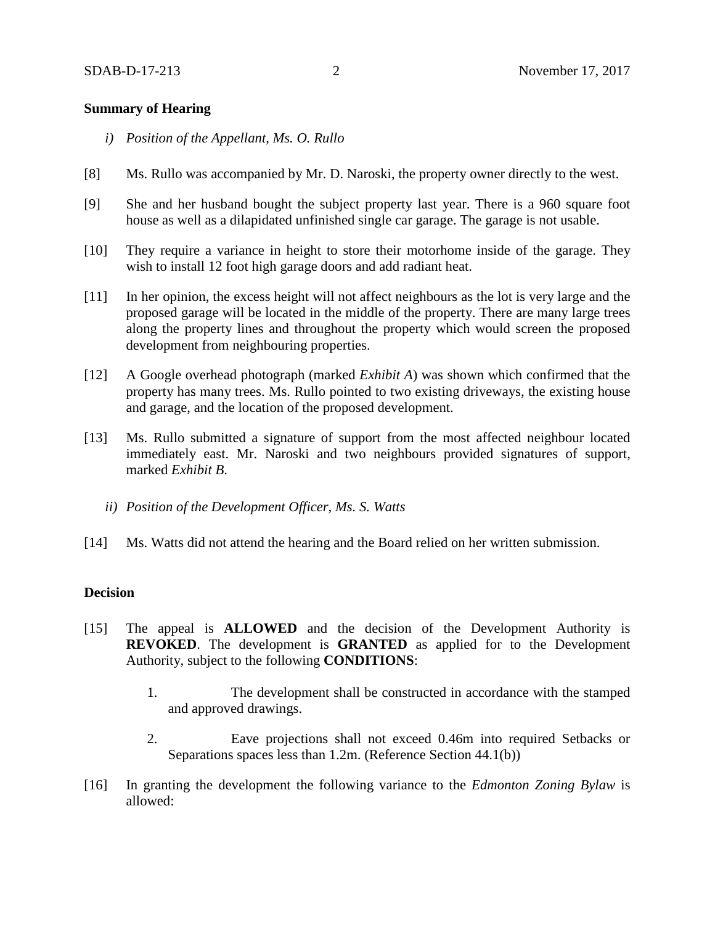### **Summary of Hearing**

- *i) Position of the Appellant, Ms. O. Rullo*
- [8] Ms. Rullo was accompanied by Mr. D. Naroski, the property owner directly to the west.
- [9] She and her husband bought the subject property last year. There is a 960 square foot house as well as a dilapidated unfinished single car garage. The garage is not usable.
- [10] They require a variance in height to store their motorhome inside of the garage. They wish to install 12 foot high garage doors and add radiant heat.
- [11] In her opinion, the excess height will not affect neighbours as the lot is very large and the proposed garage will be located in the middle of the property. There are many large trees along the property lines and throughout the property which would screen the proposed development from neighbouring properties.
- [12] A Google overhead photograph (marked *Exhibit A*) was shown which confirmed that the property has many trees. Ms. Rullo pointed to two existing driveways, the existing house and garage, and the location of the proposed development.
- [13] Ms. Rullo submitted a signature of support from the most affected neighbour located immediately east. Mr. Naroski and two neighbours provided signatures of support, marked *Exhibit B*.
	- *ii) Position of the Development Officer, Ms. S. Watts*
- [14] Ms. Watts did not attend the hearing and the Board relied on her written submission.

#### **Decision**

- [15] The appeal is **ALLOWED** and the decision of the Development Authority is **REVOKED**. The development is **GRANTED** as applied for to the Development Authority, subject to the following **CONDITIONS**:
	- 1. The development shall be constructed in accordance with the stamped and approved drawings.
	- 2. Eave projections shall not exceed 0.46m into required Setbacks or Separations spaces less than 1.2m. (Reference Section 44.1(b))
- [16] In granting the development the following variance to the *Edmonton Zoning Bylaw* is allowed: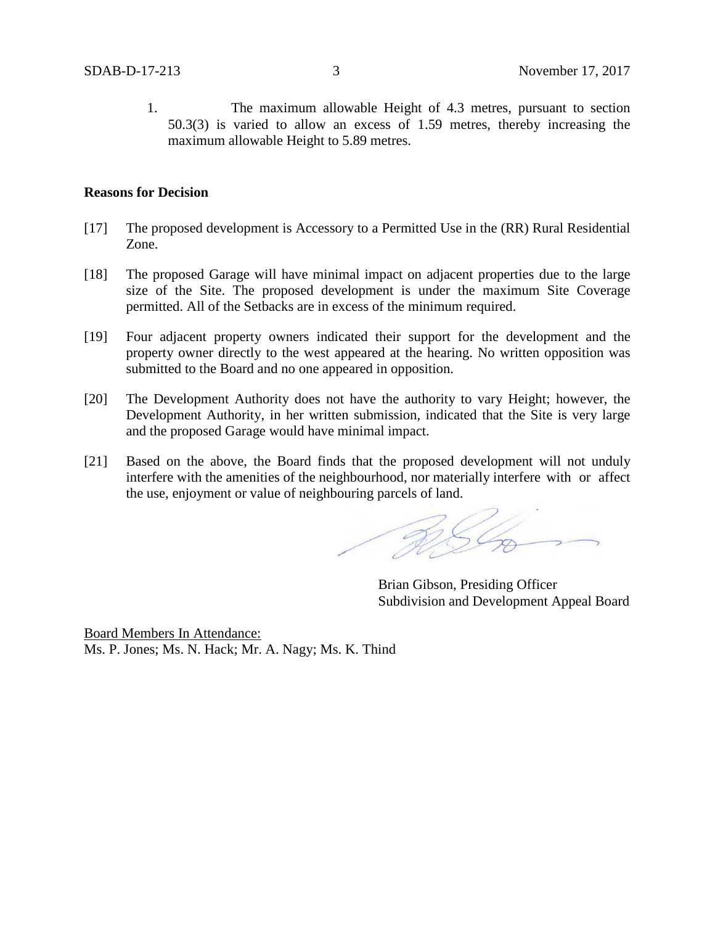1. The maximum allowable Height of 4.3 metres, pursuant to section 50.3(3) is varied to allow an excess of 1.59 metres, thereby increasing the maximum allowable Height to 5.89 metres.

### **Reasons for Decision**

- [17] The proposed development is Accessory to a Permitted Use in the (RR) Rural Residential Zone.
- [18] The proposed Garage will have minimal impact on adjacent properties due to the large size of the Site. The proposed development is under the maximum Site Coverage permitted. All of the Setbacks are in excess of the minimum required.
- [19] Four adjacent property owners indicated their support for the development and the property owner directly to the west appeared at the hearing. No written opposition was submitted to the Board and no one appeared in opposition.
- [20] The Development Authority does not have the authority to vary Height; however, the Development Authority, in her written submission, indicated that the Site is very large and the proposed Garage would have minimal impact.
- [21] Based on the above, the Board finds that the proposed development will not unduly interfere with the amenities of the neighbourhood, nor materially interfere with or affect the use, enjoyment or value of neighbouring parcels of land.

RSL

Brian Gibson, Presiding Officer Subdivision and Development Appeal Board

Board Members In Attendance: Ms. P. Jones; Ms. N. Hack; Mr. A. Nagy; Ms. K. Thind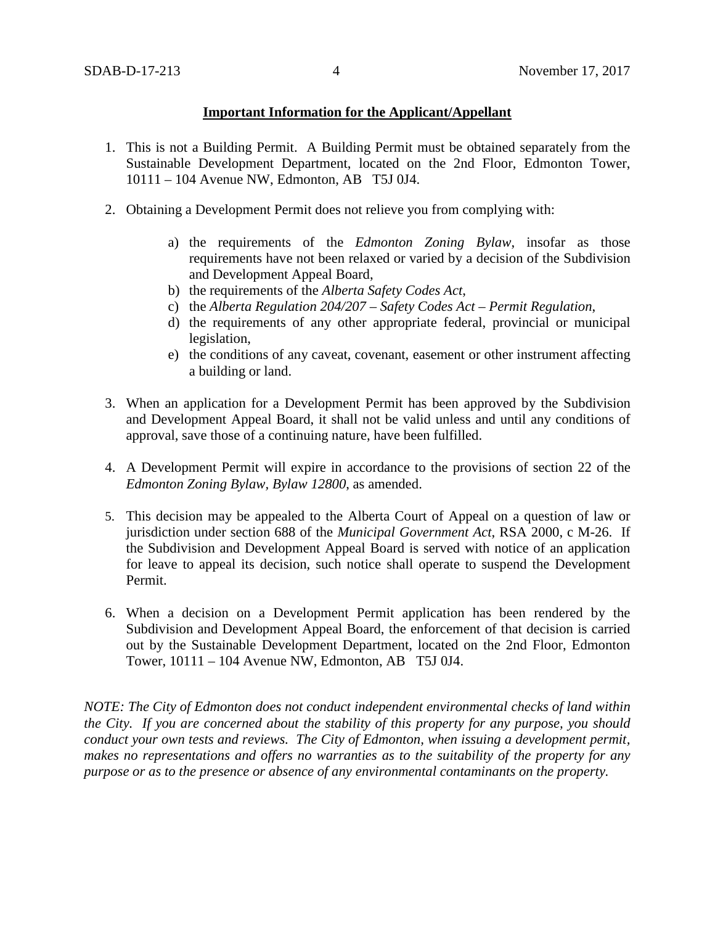### **Important Information for the Applicant/Appellant**

- 1. This is not a Building Permit. A Building Permit must be obtained separately from the Sustainable Development Department, located on the 2nd Floor, Edmonton Tower, 10111 – 104 Avenue NW, Edmonton, AB T5J 0J4.
- 2. Obtaining a Development Permit does not relieve you from complying with:
	- a) the requirements of the *Edmonton Zoning Bylaw*, insofar as those requirements have not been relaxed or varied by a decision of the Subdivision and Development Appeal Board,
	- b) the requirements of the *Alberta Safety Codes Act*,
	- c) the *Alberta Regulation 204/207 – Safety Codes Act – Permit Regulation*,
	- d) the requirements of any other appropriate federal, provincial or municipal legislation,
	- e) the conditions of any caveat, covenant, easement or other instrument affecting a building or land.
- 3. When an application for a Development Permit has been approved by the Subdivision and Development Appeal Board, it shall not be valid unless and until any conditions of approval, save those of a continuing nature, have been fulfilled.
- 4. A Development Permit will expire in accordance to the provisions of section 22 of the *Edmonton Zoning Bylaw, Bylaw 12800*, as amended.
- 5. This decision may be appealed to the Alberta Court of Appeal on a question of law or jurisdiction under section 688 of the *Municipal Government Act*, RSA 2000, c M-26. If the Subdivision and Development Appeal Board is served with notice of an application for leave to appeal its decision, such notice shall operate to suspend the Development Permit.
- 6. When a decision on a Development Permit application has been rendered by the Subdivision and Development Appeal Board, the enforcement of that decision is carried out by the Sustainable Development Department, located on the 2nd Floor, Edmonton Tower, 10111 – 104 Avenue NW, Edmonton, AB T5J 0J4.

*NOTE: The City of Edmonton does not conduct independent environmental checks of land within the City. If you are concerned about the stability of this property for any purpose, you should conduct your own tests and reviews. The City of Edmonton, when issuing a development permit, makes no representations and offers no warranties as to the suitability of the property for any purpose or as to the presence or absence of any environmental contaminants on the property.*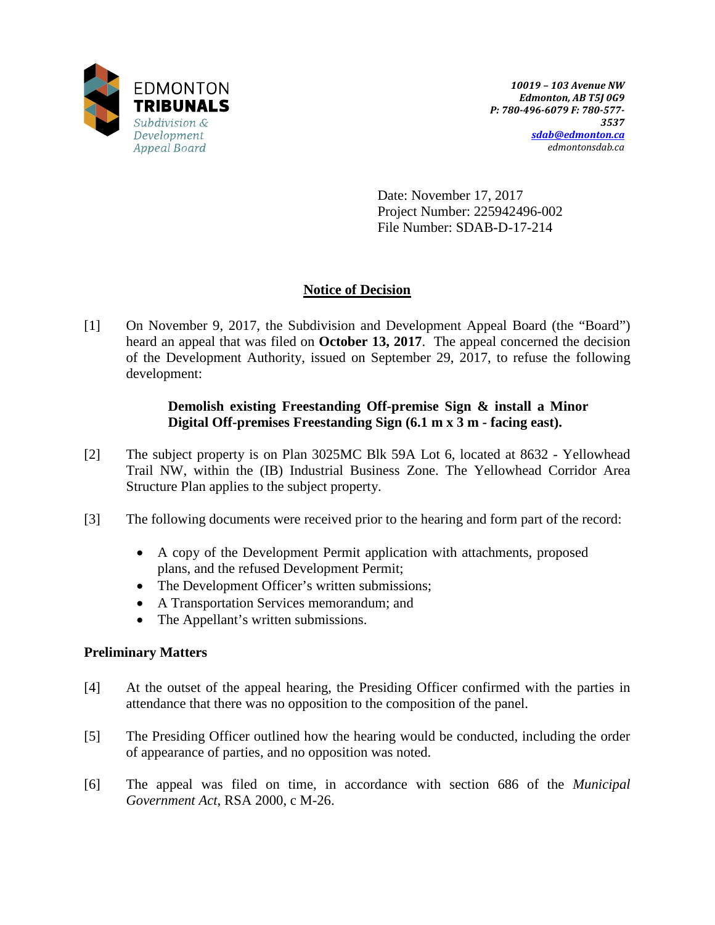

Date: November 17, 2017 Project Number: 225942496-002 File Number: SDAB-D-17-214

# **Notice of Decision**

[1] On November 9, 2017, the Subdivision and Development Appeal Board (the "Board") heard an appeal that was filed on **October 13, 2017**. The appeal concerned the decision of the Development Authority, issued on September 29, 2017, to refuse the following development:

## **Demolish existing Freestanding Off-premise Sign & install a Minor Digital Off-premises Freestanding Sign (6.1 m x 3 m - facing east).**

- [2] The subject property is on Plan 3025MC Blk 59A Lot 6, located at 8632 Yellowhead Trail NW, within the (IB) Industrial Business Zone. The Yellowhead Corridor Area Structure Plan applies to the subject property.
- [3] The following documents were received prior to the hearing and form part of the record:
	- A copy of the Development Permit application with attachments, proposed plans, and the refused Development Permit;
	- The Development Officer's written submissions;
	- A Transportation Services memorandum; and
	- The Appellant's written submissions.

## **Preliminary Matters**

- [4] At the outset of the appeal hearing, the Presiding Officer confirmed with the parties in attendance that there was no opposition to the composition of the panel.
- [5] The Presiding Officer outlined how the hearing would be conducted, including the order of appearance of parties, and no opposition was noted.
- [6] The appeal was filed on time, in accordance with section 686 of the *Municipal Government Act*, RSA 2000, c M-26.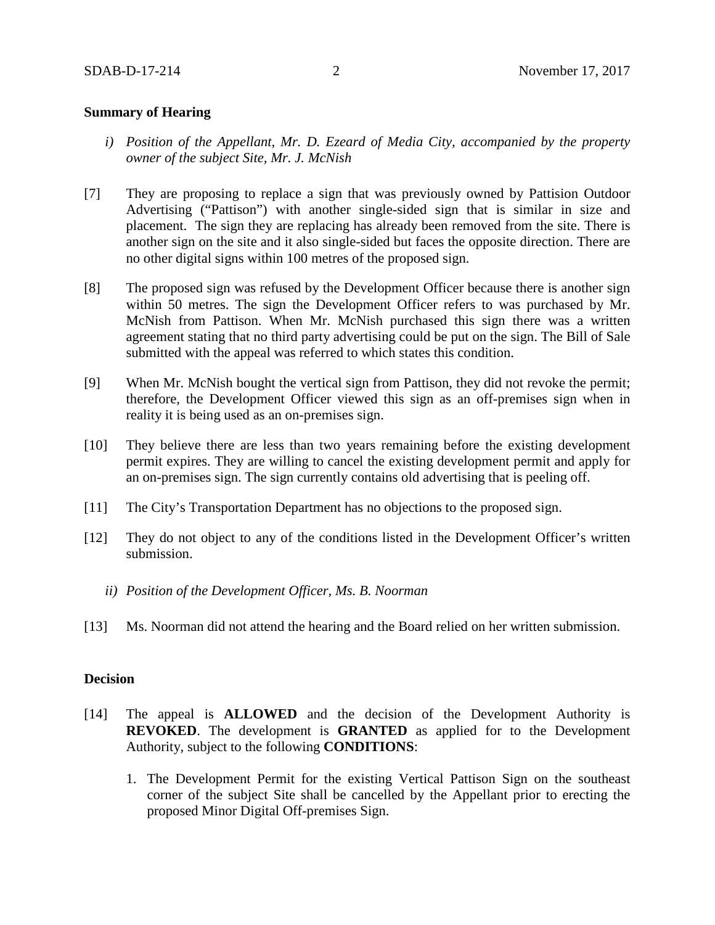### **Summary of Hearing**

- *i) Position of the Appellant, Mr. D. Ezeard of Media City, accompanied by the property owner of the subject Site, Mr. J. McNish*
- [7] They are proposing to replace a sign that was previously owned by Pattision Outdoor Advertising ("Pattison") with another single-sided sign that is similar in size and placement. The sign they are replacing has already been removed from the site. There is another sign on the site and it also single-sided but faces the opposite direction. There are no other digital signs within 100 metres of the proposed sign.
- [8] The proposed sign was refused by the Development Officer because there is another sign within 50 metres. The sign the Development Officer refers to was purchased by Mr. McNish from Pattison. When Mr. McNish purchased this sign there was a written agreement stating that no third party advertising could be put on the sign. The Bill of Sale submitted with the appeal was referred to which states this condition.
- [9] When Mr. McNish bought the vertical sign from Pattison, they did not revoke the permit; therefore, the Development Officer viewed this sign as an off-premises sign when in reality it is being used as an on-premises sign.
- [10] They believe there are less than two years remaining before the existing development permit expires. They are willing to cancel the existing development permit and apply for an on-premises sign. The sign currently contains old advertising that is peeling off.
- [11] The City's Transportation Department has no objections to the proposed sign.
- [12] They do not object to any of the conditions listed in the Development Officer's written submission.
	- *ii) Position of the Development Officer, Ms. B. Noorman*
- [13] Ms. Noorman did not attend the hearing and the Board relied on her written submission.

### **Decision**

- [14] The appeal is **ALLOWED** and the decision of the Development Authority is **REVOKED**. The development is **GRANTED** as applied for to the Development Authority, subject to the following **CONDITIONS**:
	- 1. The Development Permit for the existing Vertical Pattison Sign on the southeast corner of the subject Site shall be cancelled by the Appellant prior to erecting the proposed Minor Digital Off-premises Sign.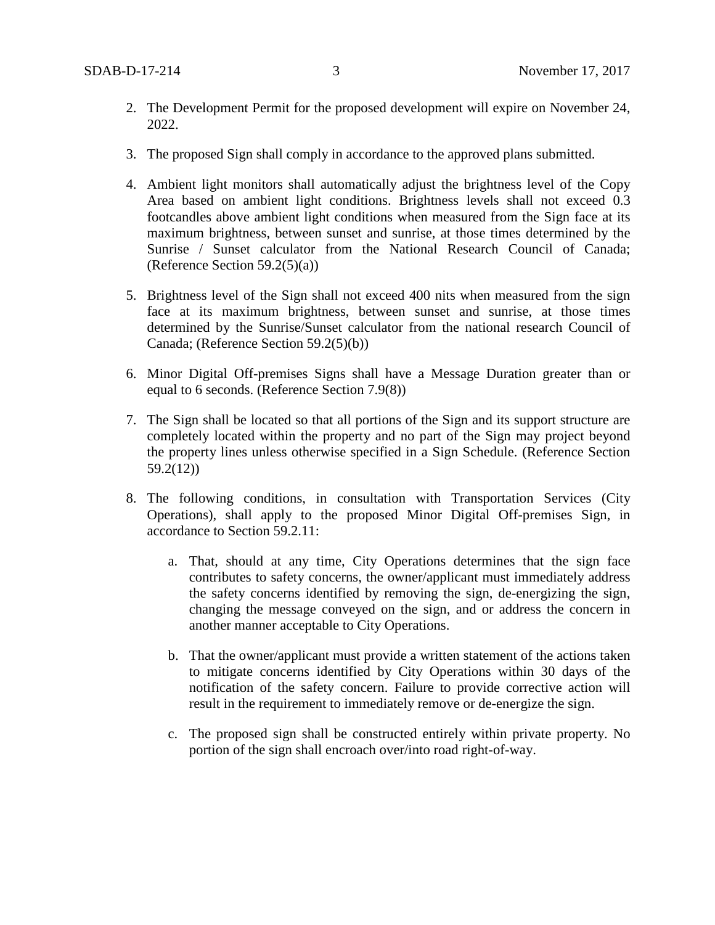- 2. The Development Permit for the proposed development will expire on November 24, 2022.
- 3. The proposed Sign shall comply in accordance to the approved plans submitted.
- 4. Ambient light monitors shall automatically adjust the brightness level of the Copy Area based on ambient light conditions. Brightness levels shall not exceed 0.3 footcandles above ambient light conditions when measured from the Sign face at its maximum brightness, between sunset and sunrise, at those times determined by the Sunrise / Sunset calculator from the National Research Council of Canada; (Reference Section  $59.2(5)(a)$ )
- 5. Brightness level of the Sign shall not exceed 400 nits when measured from the sign face at its maximum brightness, between sunset and sunrise, at those times determined by the Sunrise/Sunset calculator from the national research Council of Canada; (Reference Section 59.2(5)(b))
- 6. Minor Digital Off-premises Signs shall have a Message Duration greater than or equal to 6 seconds. (Reference Section 7.9(8))
- 7. The Sign shall be located so that all portions of the Sign and its support structure are completely located within the property and no part of the Sign may project beyond the property lines unless otherwise specified in a Sign Schedule. (Reference Section 59.2(12))
- 8. The following conditions, in consultation with Transportation Services (City Operations), shall apply to the proposed Minor Digital Off-premises Sign, in accordance to Section 59.2.11:
	- a. That, should at any time, City Operations determines that the sign face contributes to safety concerns, the owner/applicant must immediately address the safety concerns identified by removing the sign, de-energizing the sign, changing the message conveyed on the sign, and or address the concern in another manner acceptable to City Operations.
	- b. That the owner/applicant must provide a written statement of the actions taken to mitigate concerns identified by City Operations within 30 days of the notification of the safety concern. Failure to provide corrective action will result in the requirement to immediately remove or de-energize the sign.
	- c. The proposed sign shall be constructed entirely within private property. No portion of the sign shall encroach over/into road right-of-way.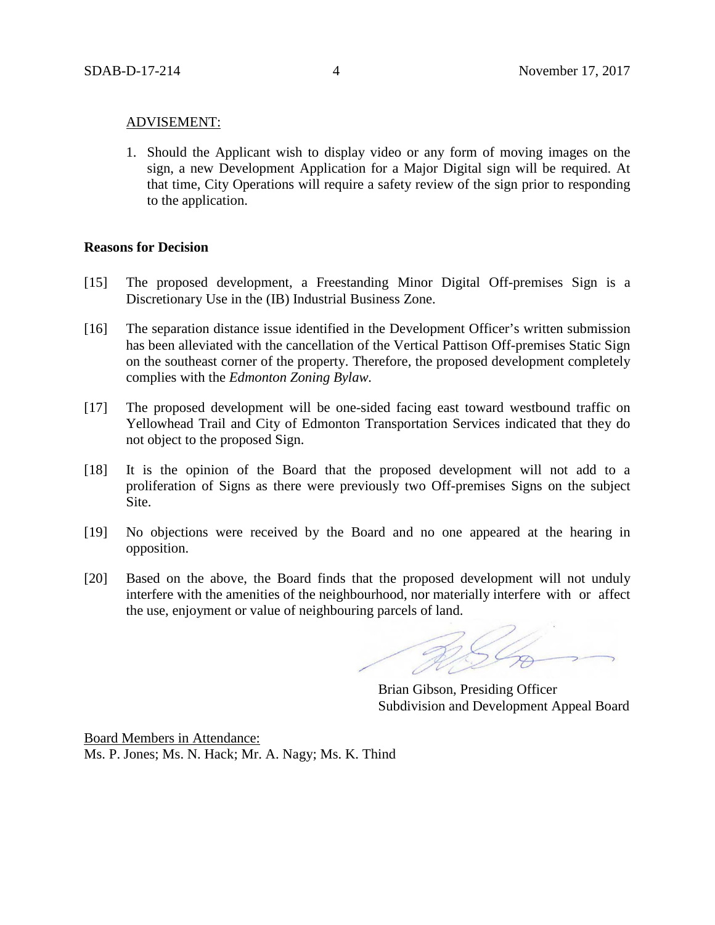#### ADVISEMENT:

1. Should the Applicant wish to display video or any form of moving images on the sign, a new Development Application for a Major Digital sign will be required. At that time, City Operations will require a safety review of the sign prior to responding to the application.

#### **Reasons for Decision**

- [15] The proposed development, a Freestanding Minor Digital Off-premises Sign is a Discretionary Use in the (IB) Industrial Business Zone.
- [16] The separation distance issue identified in the Development Officer's written submission has been alleviated with the cancellation of the Vertical Pattison Off-premises Static Sign on the southeast corner of the property. Therefore, the proposed development completely complies with the *Edmonton Zoning Bylaw.*
- [17] The proposed development will be one-sided facing east toward westbound traffic on Yellowhead Trail and City of Edmonton Transportation Services indicated that they do not object to the proposed Sign.
- [18] It is the opinion of the Board that the proposed development will not add to a proliferation of Signs as there were previously two Off-premises Signs on the subject Site.
- [19] No objections were received by the Board and no one appeared at the hearing in opposition.
- [20] Based on the above, the Board finds that the proposed development will not unduly interfere with the amenities of the neighbourhood, nor materially interfere with or affect the use, enjoyment or value of neighbouring parcels of land.

Brian Gibson, Presiding Officer Subdivision and Development Appeal Board

Board Members in Attendance: Ms. P. Jones; Ms. N. Hack; Mr. A. Nagy; Ms. K. Thind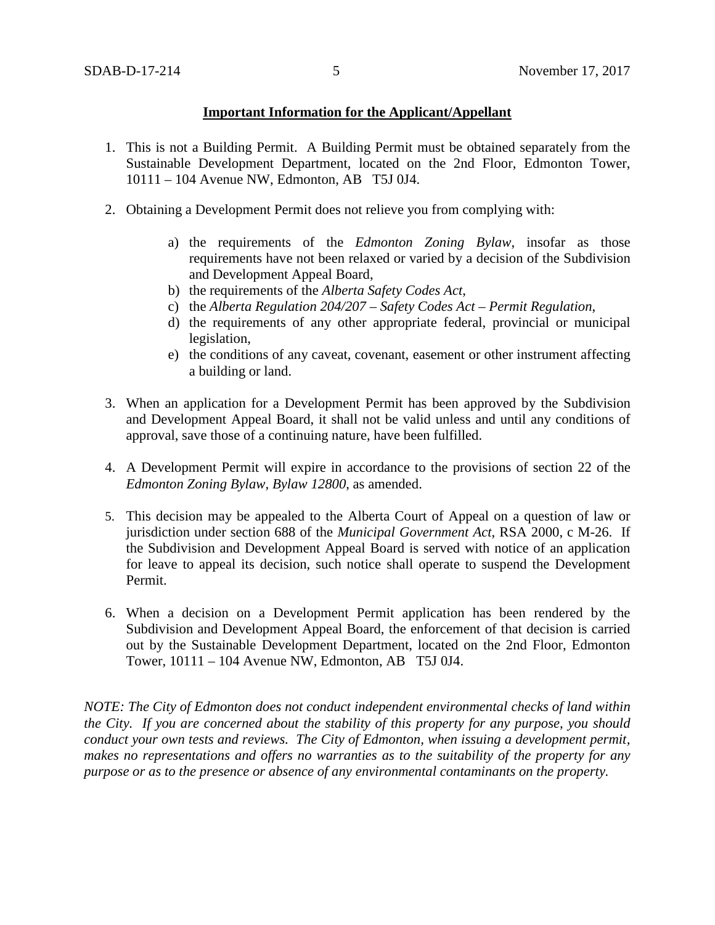### **Important Information for the Applicant/Appellant**

- 1. This is not a Building Permit. A Building Permit must be obtained separately from the Sustainable Development Department, located on the 2nd Floor, Edmonton Tower, 10111 – 104 Avenue NW, Edmonton, AB T5J 0J4.
- 2. Obtaining a Development Permit does not relieve you from complying with:
	- a) the requirements of the *Edmonton Zoning Bylaw*, insofar as those requirements have not been relaxed or varied by a decision of the Subdivision and Development Appeal Board,
	- b) the requirements of the *Alberta Safety Codes Act*,
	- c) the *Alberta Regulation 204/207 – Safety Codes Act – Permit Regulation*,
	- d) the requirements of any other appropriate federal, provincial or municipal legislation,
	- e) the conditions of any caveat, covenant, easement or other instrument affecting a building or land.
- 3. When an application for a Development Permit has been approved by the Subdivision and Development Appeal Board, it shall not be valid unless and until any conditions of approval, save those of a continuing nature, have been fulfilled.
- 4. A Development Permit will expire in accordance to the provisions of section 22 of the *Edmonton Zoning Bylaw, Bylaw 12800*, as amended.
- 5. This decision may be appealed to the Alberta Court of Appeal on a question of law or jurisdiction under section 688 of the *Municipal Government Act*, RSA 2000, c M-26. If the Subdivision and Development Appeal Board is served with notice of an application for leave to appeal its decision, such notice shall operate to suspend the Development Permit.
- 6. When a decision on a Development Permit application has been rendered by the Subdivision and Development Appeal Board, the enforcement of that decision is carried out by the Sustainable Development Department, located on the 2nd Floor, Edmonton Tower, 10111 – 104 Avenue NW, Edmonton, AB T5J 0J4.

*NOTE: The City of Edmonton does not conduct independent environmental checks of land within the City. If you are concerned about the stability of this property for any purpose, you should conduct your own tests and reviews. The City of Edmonton, when issuing a development permit, makes no representations and offers no warranties as to the suitability of the property for any purpose or as to the presence or absence of any environmental contaminants on the property.*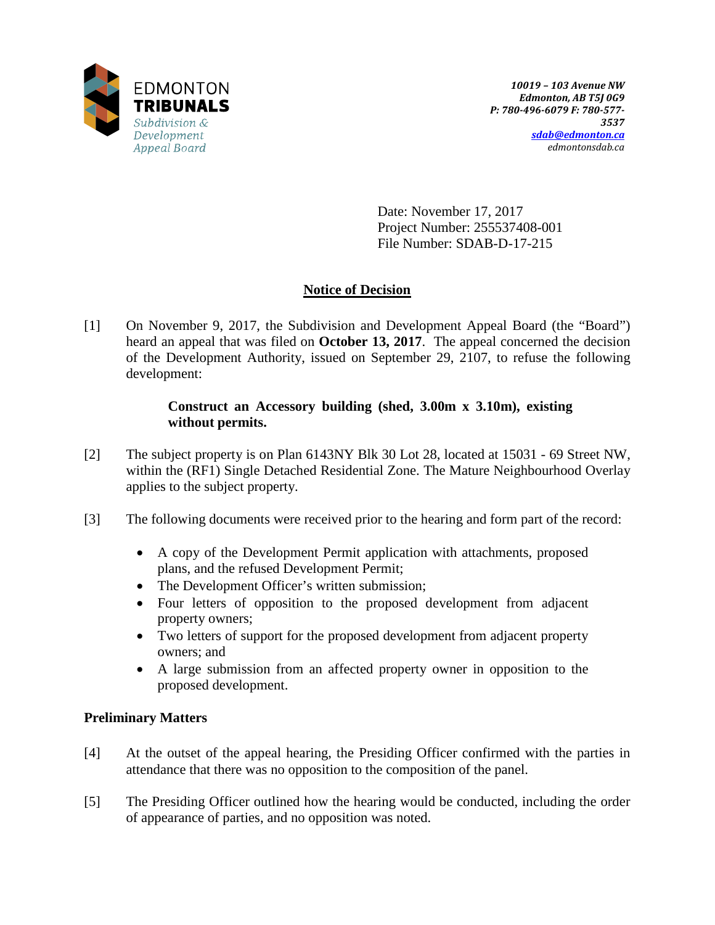

Date: November 17, 2017 Project Number: 255537408-001 File Number: SDAB-D-17-215

## **Notice of Decision**

[1] On November 9, 2017, the Subdivision and Development Appeal Board (the "Board") heard an appeal that was filed on **October 13, 2017**. The appeal concerned the decision of the Development Authority, issued on September 29, 2107, to refuse the following development:

### **Construct an Accessory building (shed, 3.00m x 3.10m), existing without permits.**

- [2] The subject property is on Plan 6143NY Blk 30 Lot 28, located at 15031 69 Street NW, within the (RF1) Single Detached Residential Zone. The Mature Neighbourhood Overlay applies to the subject property.
- [3] The following documents were received prior to the hearing and form part of the record:
	- A copy of the Development Permit application with attachments, proposed plans, and the refused Development Permit;
	- The Development Officer's written submission;
	- Four letters of opposition to the proposed development from adjacent property owners;
	- Two letters of support for the proposed development from adjacent property owners; and
	- A large submission from an affected property owner in opposition to the proposed development.

## **Preliminary Matters**

- [4] At the outset of the appeal hearing, the Presiding Officer confirmed with the parties in attendance that there was no opposition to the composition of the panel.
- [5] The Presiding Officer outlined how the hearing would be conducted, including the order of appearance of parties, and no opposition was noted.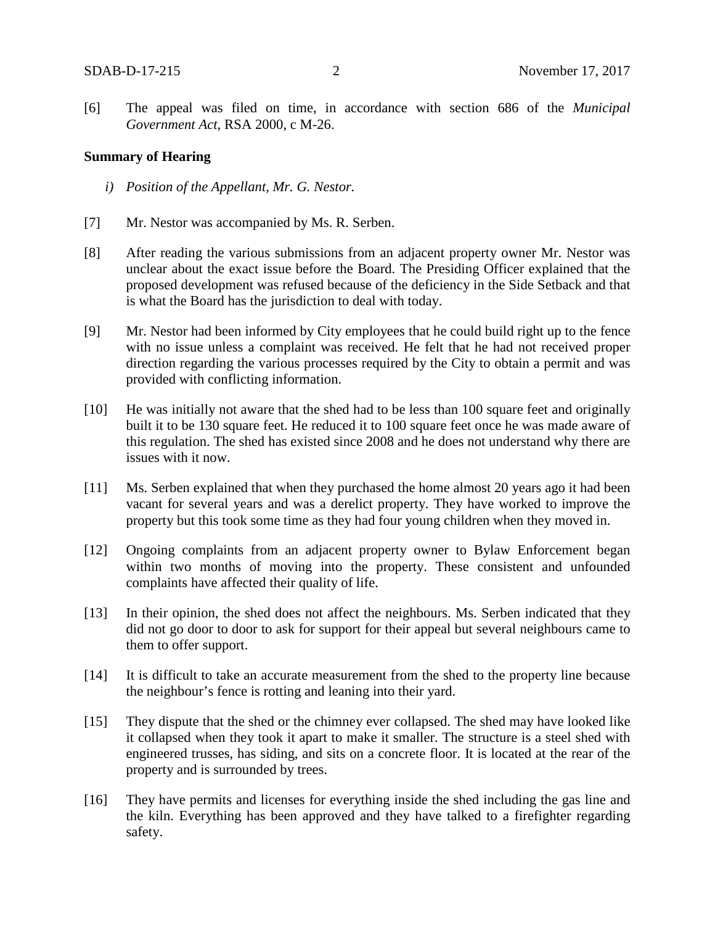[6] The appeal was filed on time, in accordance with section 686 of the *Municipal Government Act*, RSA 2000, c M-26.

### **Summary of Hearing**

- *i) Position of the Appellant, Mr. G. Nestor.*
- [7] Mr. Nestor was accompanied by Ms. R. Serben.
- [8] After reading the various submissions from an adjacent property owner Mr. Nestor was unclear about the exact issue before the Board. The Presiding Officer explained that the proposed development was refused because of the deficiency in the Side Setback and that is what the Board has the jurisdiction to deal with today.
- [9] Mr. Nestor had been informed by City employees that he could build right up to the fence with no issue unless a complaint was received. He felt that he had not received proper direction regarding the various processes required by the City to obtain a permit and was provided with conflicting information.
- [10] He was initially not aware that the shed had to be less than 100 square feet and originally built it to be 130 square feet. He reduced it to 100 square feet once he was made aware of this regulation. The shed has existed since 2008 and he does not understand why there are issues with it now.
- [11] Ms. Serben explained that when they purchased the home almost 20 years ago it had been vacant for several years and was a derelict property. They have worked to improve the property but this took some time as they had four young children when they moved in.
- [12] Ongoing complaints from an adjacent property owner to Bylaw Enforcement began within two months of moving into the property. These consistent and unfounded complaints have affected their quality of life.
- [13] In their opinion, the shed does not affect the neighbours. Ms. Serben indicated that they did not go door to door to ask for support for their appeal but several neighbours came to them to offer support.
- [14] It is difficult to take an accurate measurement from the shed to the property line because the neighbour's fence is rotting and leaning into their yard.
- [15] They dispute that the shed or the chimney ever collapsed. The shed may have looked like it collapsed when they took it apart to make it smaller. The structure is a steel shed with engineered trusses, has siding, and sits on a concrete floor. It is located at the rear of the property and is surrounded by trees.
- [16] They have permits and licenses for everything inside the shed including the gas line and the kiln. Everything has been approved and they have talked to a firefighter regarding safety.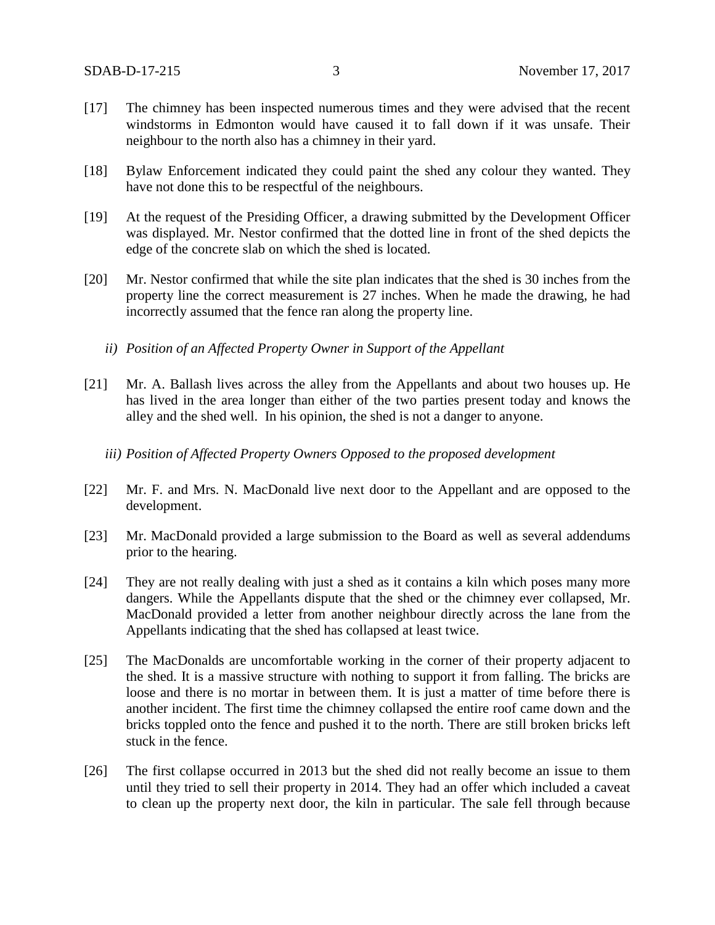- [17] The chimney has been inspected numerous times and they were advised that the recent windstorms in Edmonton would have caused it to fall down if it was unsafe. Their neighbour to the north also has a chimney in their yard.
- [18] Bylaw Enforcement indicated they could paint the shed any colour they wanted. They have not done this to be respectful of the neighbours.
- [19] At the request of the Presiding Officer, a drawing submitted by the Development Officer was displayed. Mr. Nestor confirmed that the dotted line in front of the shed depicts the edge of the concrete slab on which the shed is located.
- [20] Mr. Nestor confirmed that while the site plan indicates that the shed is 30 inches from the property line the correct measurement is 27 inches. When he made the drawing, he had incorrectly assumed that the fence ran along the property line.
	- *ii) Position of an Affected Property Owner in Support of the Appellant*
- [21] Mr. A. Ballash lives across the alley from the Appellants and about two houses up. He has lived in the area longer than either of the two parties present today and knows the alley and the shed well. In his opinion, the shed is not a danger to anyone.
	- *iii) Position of Affected Property Owners Opposed to the proposed development*
- [22] Mr. F. and Mrs. N. MacDonald live next door to the Appellant and are opposed to the development.
- [23] Mr. MacDonald provided a large submission to the Board as well as several addendums prior to the hearing.
- [24] They are not really dealing with just a shed as it contains a kiln which poses many more dangers. While the Appellants dispute that the shed or the chimney ever collapsed, Mr. MacDonald provided a letter from another neighbour directly across the lane from the Appellants indicating that the shed has collapsed at least twice.
- [25] The MacDonalds are uncomfortable working in the corner of their property adjacent to the shed. It is a massive structure with nothing to support it from falling. The bricks are loose and there is no mortar in between them. It is just a matter of time before there is another incident. The first time the chimney collapsed the entire roof came down and the bricks toppled onto the fence and pushed it to the north. There are still broken bricks left stuck in the fence.
- [26] The first collapse occurred in 2013 but the shed did not really become an issue to them until they tried to sell their property in 2014. They had an offer which included a caveat to clean up the property next door, the kiln in particular. The sale fell through because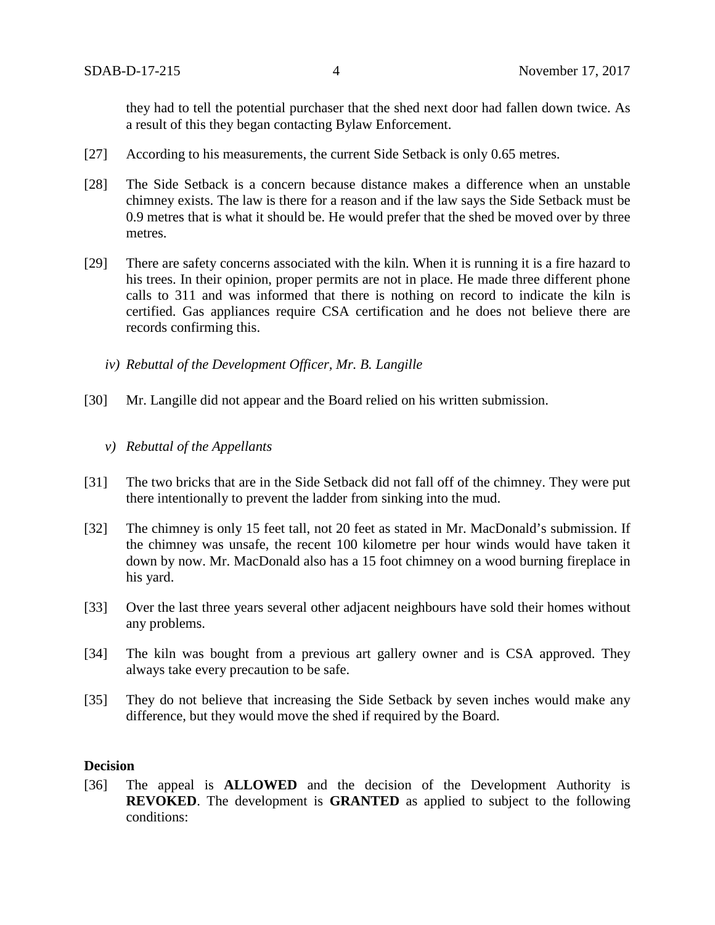they had to tell the potential purchaser that the shed next door had fallen down twice. As a result of this they began contacting Bylaw Enforcement.

- [27] According to his measurements, the current Side Setback is only 0.65 metres.
- [28] The Side Setback is a concern because distance makes a difference when an unstable chimney exists. The law is there for a reason and if the law says the Side Setback must be 0.9 metres that is what it should be. He would prefer that the shed be moved over by three metres.
- [29] There are safety concerns associated with the kiln. When it is running it is a fire hazard to his trees. In their opinion, proper permits are not in place. He made three different phone calls to 311 and was informed that there is nothing on record to indicate the kiln is certified. Gas appliances require CSA certification and he does not believe there are records confirming this.
	- *iv) Rebuttal of the Development Officer, Mr. B. Langille*
- [30] Mr. Langille did not appear and the Board relied on his written submission.
	- *v) Rebuttal of the Appellants*
- [31] The two bricks that are in the Side Setback did not fall off of the chimney. They were put there intentionally to prevent the ladder from sinking into the mud.
- [32] The chimney is only 15 feet tall, not 20 feet as stated in Mr. MacDonald's submission. If the chimney was unsafe, the recent 100 kilometre per hour winds would have taken it down by now. Mr. MacDonald also has a 15 foot chimney on a wood burning fireplace in his yard.
- [33] Over the last three years several other adjacent neighbours have sold their homes without any problems.
- [34] The kiln was bought from a previous art gallery owner and is CSA approved. They always take every precaution to be safe.
- [35] They do not believe that increasing the Side Setback by seven inches would make any difference, but they would move the shed if required by the Board.

### **Decision**

[36] The appeal is **ALLOWED** and the decision of the Development Authority is **REVOKED**. The development is **GRANTED** as applied to subject to the following conditions: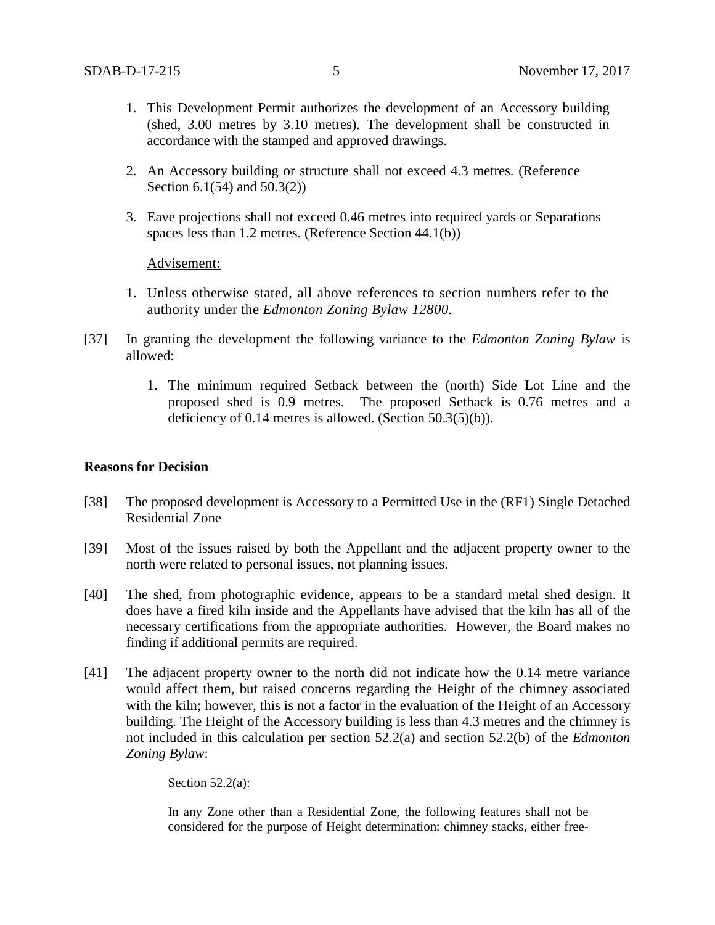- 1. This Development Permit authorizes the development of an Accessory building (shed, 3.00 metres by 3.10 metres). The development shall be constructed in accordance with the stamped and approved drawings.
- 2. An Accessory building or structure shall not exceed 4.3 metres. (Reference Section 6.1(54) and 50.3(2))
- 3. Eave projections shall not exceed 0.46 metres into required yards or Separations spaces less than 1.2 metres. (Reference Section 44.1(b))

Advisement:

- 1. Unless otherwise stated, all above references to section numbers refer to the authority under the *Edmonton Zoning Bylaw 12800.*
- [37] In granting the development the following variance to the *Edmonton Zoning Bylaw* is allowed:
	- 1. The minimum required Setback between the (north) Side Lot Line and the proposed shed is 0.9 metres. The proposed Setback is 0.76 metres and a deficiency of 0.14 metres is allowed. (Section 50.3(5)(b)).

#### **Reasons for Decision**

- [38] The proposed development is Accessory to a Permitted Use in the (RF1) Single Detached Residential Zone
- [39] Most of the issues raised by both the Appellant and the adjacent property owner to the north were related to personal issues, not planning issues.
- [40] The shed, from photographic evidence, appears to be a standard metal shed design. It does have a fired kiln inside and the Appellants have advised that the kiln has all of the necessary certifications from the appropriate authorities. However, the Board makes no finding if additional permits are required.
- [41] The adjacent property owner to the north did not indicate how the 0.14 metre variance would affect them, but raised concerns regarding the Height of the chimney associated with the kiln; however, this is not a factor in the evaluation of the Height of an Accessory building. The Height of the Accessory building is less than 4.3 metres and the chimney is not included in this calculation per section 52.2(a) and section 52.2(b) of the *Edmonton Zoning Bylaw*:

Section  $52.2(a)$ :

In any Zone other than a Residential Zone, the following features shall not be considered for the purpose of Height determination: chimney stacks, either free-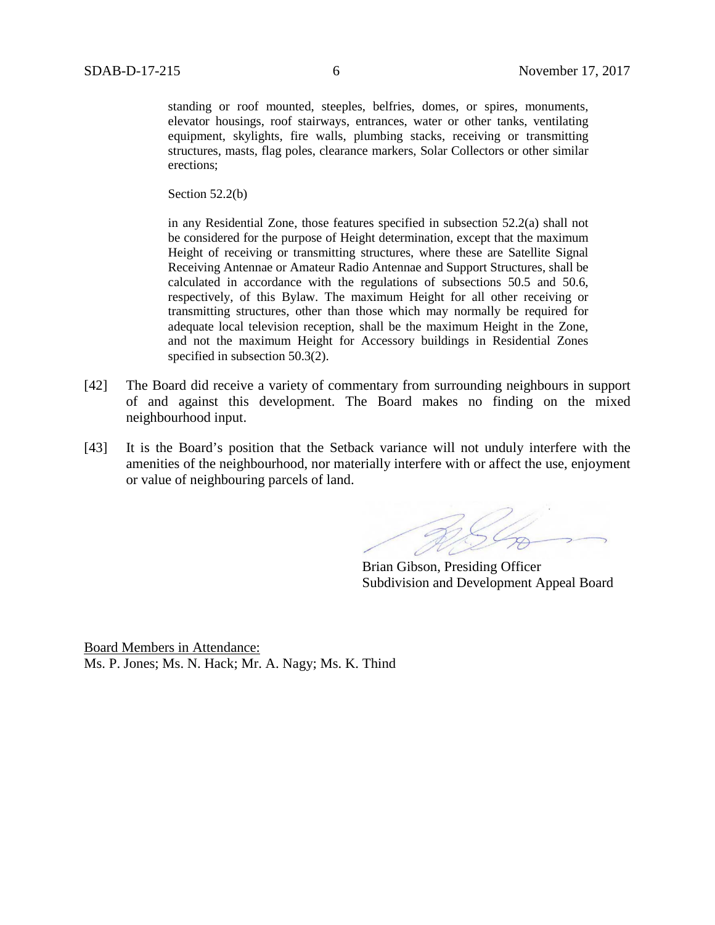standing or roof mounted, steeples, belfries, domes, or spires, monuments, elevator housings, roof stairways, entrances, water or other tanks, ventilating equipment, skylights, fire walls, plumbing stacks, receiving or transmitting structures, masts, flag poles, clearance markers, Solar Collectors or other similar erections;

Section 52.2(b)

in any Residential Zone, those features specified in subsection 52.2(a) shall not be considered for the purpose of Height determination, except that the maximum Height of receiving or transmitting structures, where these are Satellite Signal Receiving Antennae or Amateur Radio Antennae and Support Structures, shall be calculated in accordance with the regulations of subsections 50.5 and 50.6, respectively, of this Bylaw. The maximum Height for all other receiving or transmitting structures, other than those which may normally be required for adequate local television reception, shall be the maximum Height in the Zone, and not the maximum Height for Accessory buildings in Residential Zones specified in subsection 50.3(2).

- [42] The Board did receive a variety of commentary from surrounding neighbours in support of and against this development. The Board makes no finding on the mixed neighbourhood input.
- [43] It is the Board's position that the Setback variance will not unduly interfere with the amenities of the neighbourhood, nor materially interfere with or affect the use, enjoyment or value of neighbouring parcels of land.

BS Co

Brian Gibson, Presiding Officer Subdivision and Development Appeal Board

Board Members in Attendance: Ms. P. Jones; Ms. N. Hack; Mr. A. Nagy; Ms. K. Thind